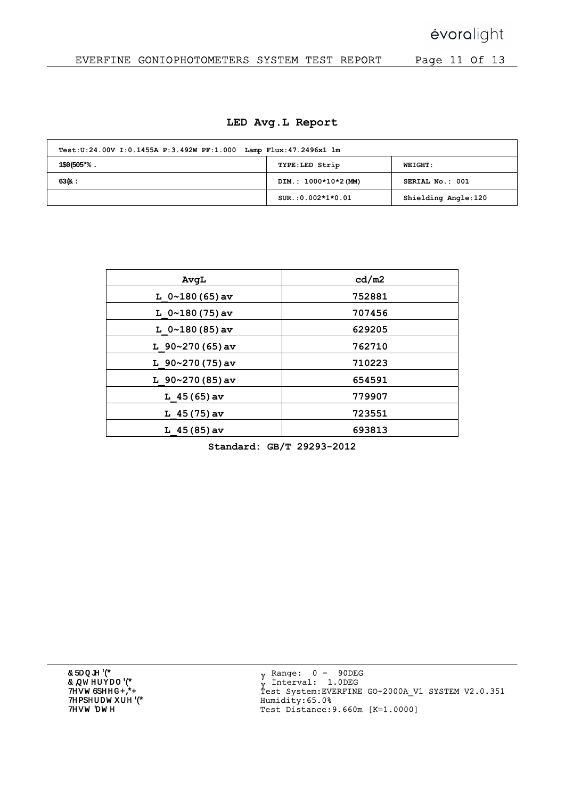## EVERFINE GONIOPHOTOMETERS SYSTEM TEST REPORT Page 11 Of 13

LED Avg.L Report

| Test: U:24.00V I:0.1455A P:3.492W PF:1.000 Lamp Flux: 47.2496x1 lm |                     |                     |  |  |  |  |  |  |  |  |
|--------------------------------------------------------------------|---------------------|---------------------|--|--|--|--|--|--|--|--|
| NAME: RM55-RGB2465                                                 | TYPE:LED Strip      | <b>WEIGHT:</b>      |  |  |  |  |  |  |  |  |
| SPEC.:18W                                                          | DIM.: 1000*10*2(MM) | SERIAL No.: 001     |  |  |  |  |  |  |  |  |
| MFR.: Évoralight, Inc.                                             | $SUR.:0.002*1*0.01$ | Shielding Angle:120 |  |  |  |  |  |  |  |  |

| AvqL                  | cd/m2  |
|-----------------------|--------|
| L $0 \sim 180(65)$ av | 752881 |
| L $0 \sim 180(75)$ av | 707456 |
| L $0 \sim 180(85)$ av | 629205 |
| L $90~270(65)$ av     | 762710 |
| L $90~270(75)$ av     | 710223 |
| L $90~270(85)$ av     | 654591 |
| L $45(65)$ av         | 779907 |
| L $45(75)$ av         | 723551 |
| $L$ 45 (85) av        | 693813 |

Standard: GB/T 29293-2012

|  | $\gamma$ Range: $0 - 90$ DEG<br>$\sqrt{\ }$ Interval: 1.0DEG |                                                   |
|--|--------------------------------------------------------------|---------------------------------------------------|
|  |                                                              | Test System: EVERFINE GO-2000A V1 SYSTEM V2.0.351 |
|  | Humidity:65.0%                                               |                                                   |
|  | Test Distance: 9.660m [K=1.0000]                             |                                                   |
|  |                                                              |                                                   |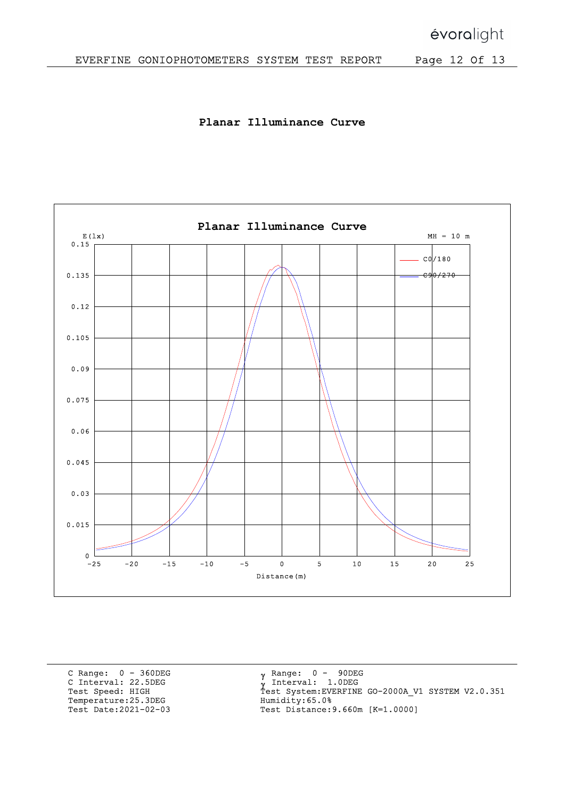Planar Illuminance Curve



C Range: 0 - 360DEG C Interval: 22.5DEG Test Speed: HIGH Temperature:25.3DEG Test Date:2021-02-03

 $\mathbf{v}$ γ<br>ν Ÿ Range: 0 - 90DEG Interval: 1.0DEG Test System:EVERFINE GO-2000A\_V1 SYSTEM V2.0.351 Humidity:65.0% Test Distance:9.660m [K=1.0000]